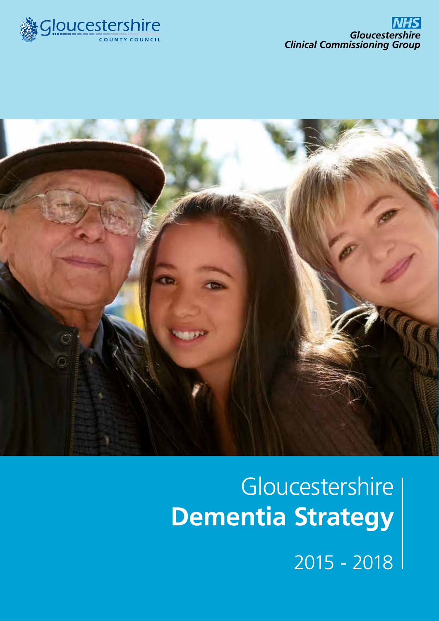



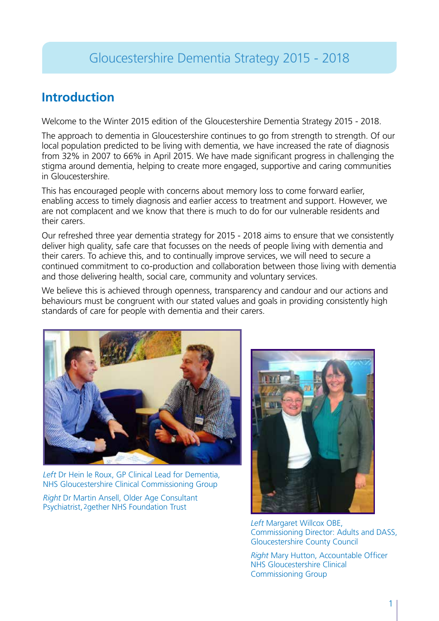### **Introduction**

Welcome to the Winter 2015 edition of the Gloucestershire Dementia Strategy 2015 - 2018.

The approach to dementia in Gloucestershire continues to go from strength to strength. Of our local population predicted to be living with dementia, we have increased the rate of diagnosis from 32% in 2007 to 66% in April 2015. We have made significant progress in challenging the stigma around dementia, helping to create more engaged, supportive and caring communities in Gloucestershire.

This has encouraged people with concerns about memory loss to come forward earlier, enabling access to timely diagnosis and earlier access to treatment and support. However, we are not complacent and we know that there is much to do for our vulnerable residents and their carers.

Our refreshed three year dementia strategy for 2015 - 2018 aims to ensure that we consistently deliver high quality, safe care that focusses on the needs of people living with dementia and their carers. To achieve this, and to continually improve services, we will need to secure a continued commitment to co-production and collaboration between those living with dementia and those delivering health, social care, community and voluntary services.

We believe this is achieved through openness, transparency and candour and our actions and behaviours must be congruent with our stated values and goals in providing consistently high standards of care for people with dementia and their carers.



*Left* Dr Hein le Roux, GP Clinical Lead for Dementia, NHS Gloucestershire Clinical Commissioning Group

*Right* Dr Martin Ansell, Older Age Consultant Psychiatrist, 2 gether NHS Foundation Trust



*Left* Margaret Willcox OBE, Commissioning Director: Adults and DASS, Gloucestershire County Council

*Right* Mary Hutton, Accountable Officer NHS Gloucestershire Clinical Commissioning Group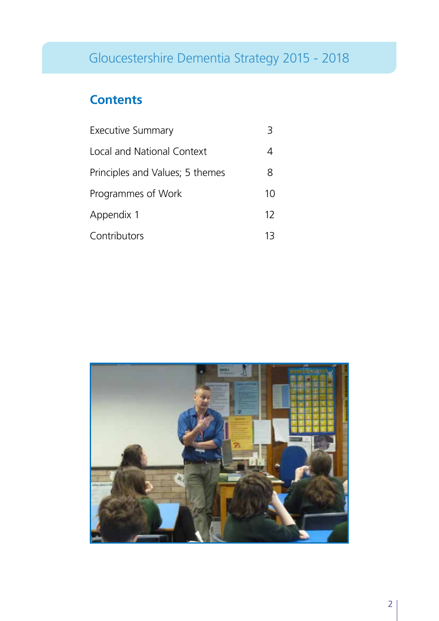## **Contents**

| <b>Executive Summary</b>        |    |
|---------------------------------|----|
| Local and National Context      |    |
| Principles and Values; 5 themes | 8  |
| Programmes of Work              | 10 |
| Appendix 1                      | 12 |
| Contributors                    | 13 |

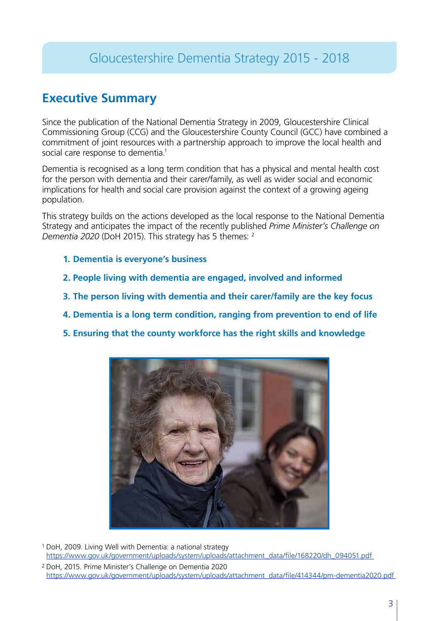### **Executive Summary**

Since the publication of the National Dementia Strategy in 2009, Gloucestershire Clinical Commissioning Group (CCG) and the Gloucestershire County Council (GCC) have combined a commitment of joint resources with a partnership approach to improve the local health and social care response to dementia.<sup>1</sup>

Dementia is recognised as a long term condition that has a physical and mental health cost for the person with dementia and their carer/family, as well as wider social and economic implications for health and social care provision against the context of a growing ageing population.

This strategy builds on the actions developed as the local response to the National Dementia Strategy and anticipates the impact of the recently published *Prime Minister's Challenge on Dementia 2020* (DoH 2015). This strategy has 5 themes: 2

- **1. Dementia is everyone's business**
- **2. People living with dementia are engaged, involved and informed**
- **3. The person living with dementia and their carer/family are the key focus**
- **4. Dementia is a long term condition, ranging from prevention to end of life**
- **5. Ensuring that the county workforce has the right skills and knowledge**



DoH, 2009. Living Well with Dementia: a national strategy 1 https://www.gov.uk/government/uploads/system/uploads/attachment\_data/file/168220/dh\_094051.pdf <sup>2</sup> DoH, 2015. Prime Minister's Challenge on Dementia 2020

https://www.gov.uk/government/uploads/system/uploads/attachment\_data/file/414344/pm-dementia2020.pdf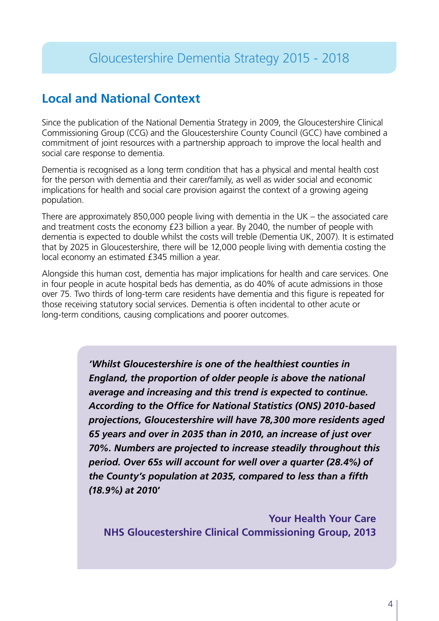### **Local and National Context**

Since the publication of the National Dementia Strategy in 2009, the Gloucestershire Clinical Commissioning Group (CCG) and the Gloucestershire County Council (GCC) have combined a commitment of joint resources with a partnership approach to improve the local health and social care response to dementia.

Dementia is recognised as a long term condition that has a physical and mental health cost for the person with dementia and their carer/family, as well as wider social and economic implications for health and social care provision against the context of a growing ageing population.

There are approximately 850,000 people living with dementia in the UK – the associated care and treatment costs the economy £23 billion a year. By 2040, the number of people with dementia is expected to double whilst the costs will treble (Dementia UK, 2007). It is estimated that by 2025 in Gloucestershire, there will be 12,000 people living with dementia costing the local economy an estimated £345 million a year.

Alongside this human cost, dementia has major implications for health and care services. One in four people in acute hospital beds has dementia, as do 40% of acute admissions in those over 75. Two thirds of long-term care residents have dementia and this figure is repeated for those receiving statutory social services. Dementia is often incidental to other acute or long-term conditions, causing complications and poorer outcomes.

> *'Whilst Gloucestershire is one of the healthiest counties in England, the proportion of older people is above the national average and increasing and this trend is expected to continue. According to the Office for National Statistics (ONS) 2010-based projections, Gloucestershire will have 78,300 more residents aged 65 years and over in 2035 than in 2010, an increase of just over 70%. Numbers are projected to increase steadily throughout this period. Over 65s will account for well over a quarter (28.4%) of the County's population at 2035, compared to less than a fifth (18.9%) at 201***0'**

**Your Health Your Care NHS Gloucestershire Clinical Commissioning Group, 2013**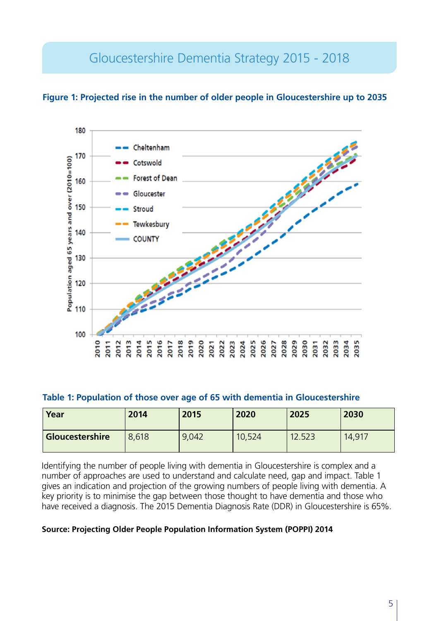**Figure 1: Projected rise in the number of older people in Gloucestershire up to 2035** 



#### **Table 1: Population of those over age of 65 with dementia in Gloucestershire**

| Year            | 2014  | 2015  | 2020   | 2025   | 2030   |
|-----------------|-------|-------|--------|--------|--------|
| Gloucestershire | 8,618 | 9,042 | 10,524 | 12.523 | 14,917 |

Identifying the number of people living with dementia in Gloucestershire is complex and a number of approaches are used to understand and calculate need, gap and impact. Table 1 gives an indication and projection of the growing numbers of people living with dementia. A key priority is to minimise the gap between those thought to have dementia and those who have received a diagnosis. The 2015 Dementia Diagnosis Rate (DDR) in Gloucestershire is 65%.

#### **Source: Projecting Older People Population Information System (POPPI) 2014**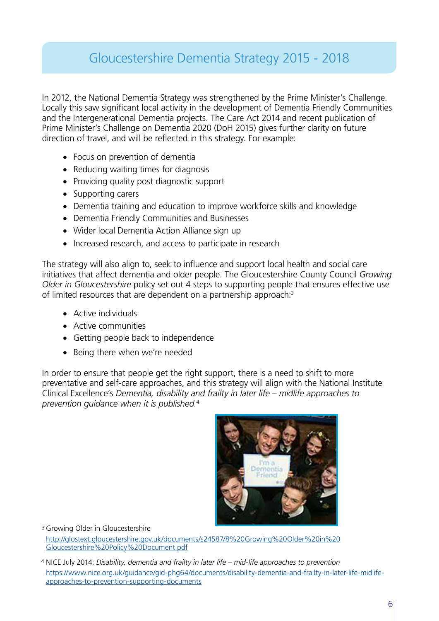In 2012, the National Dementia Strategy was strengthened by the Prime Minister's Challenge. Locally this saw significant local activity in the development of Dementia Friendly Communities and the Intergenerational Dementia projects. The Care Act 2014 and recent publication of Prime Minister's Challenge on Dementia 2020 (DoH 2015) gives further clarity on future direction of travel, and will be reflected in this strategy. For example:

- Focus on prevention of dementia
- Reducing waiting times for diagnosis
- Providing quality post diagnostic support
- Supporting carers
- Dementia training and education to improve workforce skills and knowledge
- Dementia Friendly Communities and Businesses
- Wider local Dementia Action Alliance sign up
- Increased research, and access to participate in research

The strategy will also align to, seek to influence and support local health and social care initiatives that affect dementia and older people. The Gloucestershire County Council *Growing Older in Gloucestershire* policy set out 4 steps to supporting people that ensures effective use of limited resources that are dependent on a partnership approach:<sup>3</sup>

- • Active individuals
- Active communities
- Getting people back to independence
- Being there when we're needed

In order to ensure that people get the right support, there is a need to shift to more preventative and self-care approaches, and this strategy will align with the National Institute Clinical Excellence's *Dementia, disability and frailty in later life – midlife approaches to prevention guidance when it is published.*<sup>4</sup>



<sup>3</sup> Growing Older in Gloucestershire

http://glostext.gloucestershire.gov.uk/documents/s24587/8%20Growing%20Older%20in%20 Gloucestershire%20Policy%20Document.pdf

<sup>&</sup>lt;sup>4</sup> NICE July 2014: *Disability, dementia and frailty in later life – mid-life approaches to prevention* https://www.nice.org.uk/guidance/gid-phg64/documents/disability-dementia-and-frailty-in-later-life-midlifeapproaches-to-prevention-supporting-documents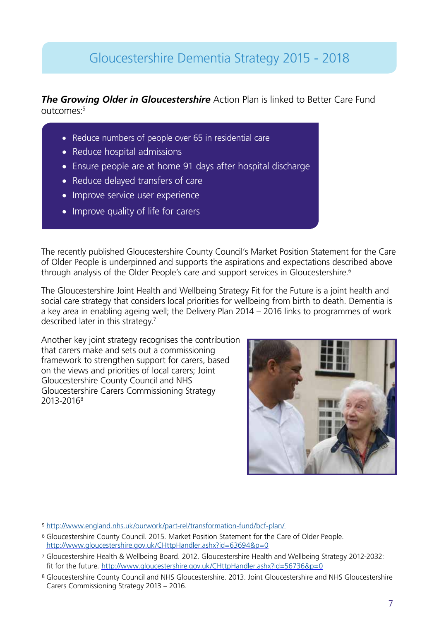#### *The Growing Older in Gloucestershire* Action Plan is linked to Better Care Fund outcomes:<sup>5</sup>

- Reduce numbers of people over 65 in residential care
- Reduce hospital admissions
- Ensure people are at home 91 days after hospital discharge
- Reduce delayed transfers of care
- Improve service user experience
- Improve quality of life for carers

The recently published Gloucestershire County Council's Market Position Statement for the Care of Older People is underpinned and supports the aspirations and expectations described above through analysis of the Older People's care and support services in Gloucestershire.<sup>6</sup>

The Gloucestershire Joint Health and Wellbeing Strategy Fit for the Future is a joint health and social care strategy that considers local priorities for wellbeing from birth to death. Dementia is a key area in enabling ageing well; the Delivery Plan 2014 – 2016 links to programmes of work described later in this strategy.<sup>7</sup>

Another key joint strategy recognises the contribution that carers make and sets out a commissioning framework to strengthen support for carers, based on the views and priorities of local carers; Joint Gloucestershire County Council and NHS Gloucestershire Carers Commissioning Strategy 2013-20168



- 5 http://www.england.nhs.uk/ourwork/part-rel/transformation-fund/bcf-plan/
- 6 Gloucestershire County Council. 2015. Market Position Statement for the Care of Older People. http://www.gloucestershire.gov.uk/CHttpHandler.ashx?id=63694&p=0
- 7 Gloucestershire Health & Wellbeing Board. 2012. Gloucestershire Health and Wellbeing Strategy 2012-2032: fit for the future. http://www.gloucestershire.gov.uk/CHttpHandler.ashx?id=56736&p=0
- 8 Gloucestershire County Council and NHS Gloucestershire. 2013. Joint Gloucestershire and NHS Gloucestershire Carers Commissioning Strategy 2013 – 2016.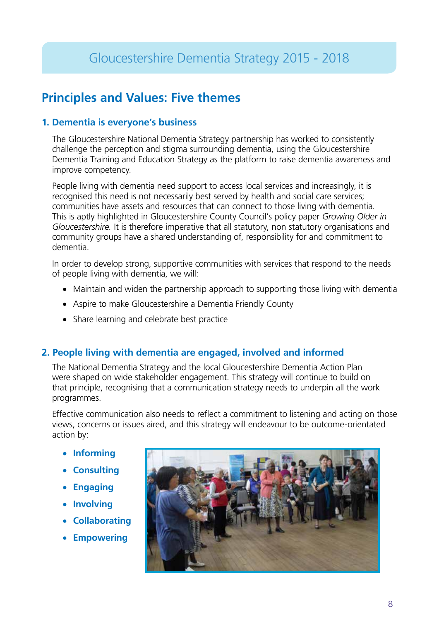### **Principles and Values: Five themes**

#### **1. Dementia is everyone's business**

The Gloucestershire National Dementia Strategy partnership has worked to consistently challenge the perception and stigma surrounding dementia, using the Gloucestershire Dementia Training and Education Strategy as the platform to raise dementia awareness and improve competency.

People living with dementia need support to access local services and increasingly, it is recognised this need is not necessarily best served by health and social care services; communities have assets and resources that can connect to those living with dementia. This is aptly highlighted in Gloucestershire County Council's policy paper *Growing Older in Gloucestershire.* It is therefore imperative that all statutory, non statutory organisations and community groups have a shared understanding of, responsibility for and commitment to dementia.

In order to develop strong, supportive communities with services that respond to the needs of people living with dementia, we will:

- Maintain and widen the partnership approach to supporting those living with dementia
- Aspire to make Gloucestershire a Dementia Friendly County
- Share learning and celebrate best practice

#### **2. People living with dementia are engaged, involved and informed**

The National Dementia Strategy and the local Gloucestershire Dementia Action Plan were shaped on wide stakeholder engagement. This strategy will continue to build on that principle, recognising that a communication strategy needs to underpin all the work programmes.

Effective communication also needs to reflect a commitment to listening and acting on those views, concerns or issues aired, and this strategy will endeavour to be outcome-orientated action by:

- • **Informing**
- • **Consulting**
- • **Engaging**
- • **Involving**
- • **Collaborating**
- • **Empowering**

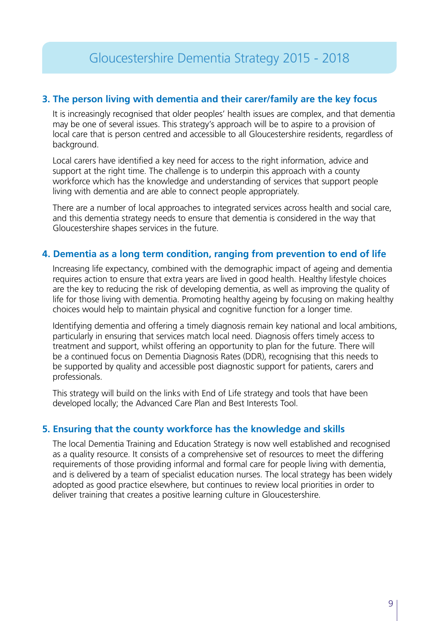#### **3. The person living with dementia and their carer/family are the key focus**

It is increasingly recognised that older peoples' health issues are complex, and that dementia may be one of several issues. This strategy's approach will be to aspire to a provision of local care that is person centred and accessible to all Gloucestershire residents, regardless of background.

Local carers have identified a key need for access to the right information, advice and support at the right time. The challenge is to underpin this approach with a county workforce which has the knowledge and understanding of services that support people living with dementia and are able to connect people appropriately.

There are a number of local approaches to integrated services across health and social care, and this dementia strategy needs to ensure that dementia is considered in the way that Gloucestershire shapes services in the future.

#### **4. Dementia as a long term condition, ranging from prevention to end of life**

Increasing life expectancy, combined with the demographic impact of ageing and dementia requires action to ensure that extra years are lived in good health. Healthy lifestyle choices are the key to reducing the risk of developing dementia, as well as improving the quality of life for those living with dementia. Promoting healthy ageing by focusing on making healthy choices would help to maintain physical and cognitive function for a longer time.

Identifying dementia and offering a timely diagnosis remain key national and local ambitions, particularly in ensuring that services match local need. Diagnosis offers timely access to treatment and support, whilst offering an opportunity to plan for the future. There will be a continued focus on Dementia Diagnosis Rates (DDR), recognising that this needs to be supported by quality and accessible post diagnostic support for patients, carers and professionals.

This strategy will build on the links with End of Life strategy and tools that have been developed locally; the Advanced Care Plan and Best Interests Tool.

#### **5. Ensuring that the county workforce has the knowledge and skills**

The local Dementia Training and Education Strategy is now well established and recognised as a quality resource. It consists of a comprehensive set of resources to meet the differing requirements of those providing informal and formal care for people living with dementia, and is delivered by a team of specialist education nurses. The local strategy has been widely adopted as good practice elsewhere, but continues to review local priorities in order to deliver training that creates a positive learning culture in Gloucestershire.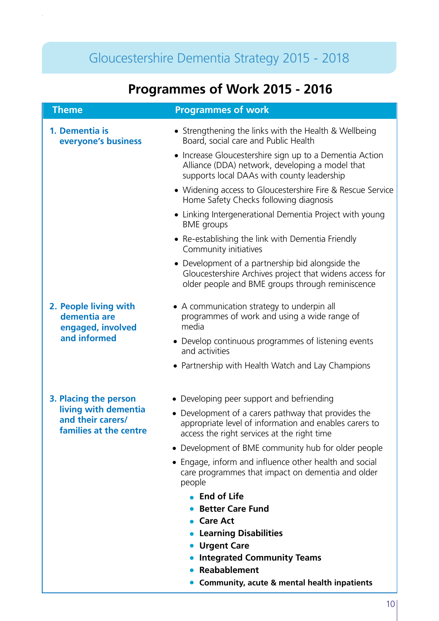# **Programmes of Work 2015 - 2016**

| <b>Theme</b>                                                               | <b>Programmes of work</b>                                                                                                                                       |
|----------------------------------------------------------------------------|-----------------------------------------------------------------------------------------------------------------------------------------------------------------|
| 1. Dementia is<br>everyone's business                                      | • Strengthening the links with the Health & Wellbeing<br>Board, social care and Public Health                                                                   |
|                                                                            | • Increase Gloucestershire sign up to a Dementia Action<br>Alliance (DDA) network, developing a model that<br>supports local DAAs with county leadership        |
|                                                                            | • Widening access to Gloucestershire Fire & Rescue Service<br>Home Safety Checks following diagnosis                                                            |
|                                                                            | • Linking Intergenerational Dementia Project with young<br><b>BME</b> groups                                                                                    |
|                                                                            | • Re-establishing the link with Dementia Friendly<br>Community initiatives                                                                                      |
|                                                                            | • Development of a partnership bid alongside the<br>Gloucestershire Archives project that widens access for<br>older people and BME groups through reminiscence |
| 2. People living with<br>dementia are<br>engaged, involved<br>and informed | • A communication strategy to underpin all<br>programmes of work and using a wide range of<br>media                                                             |
|                                                                            | • Develop continuous programmes of listening events<br>and activities                                                                                           |
|                                                                            | • Partnership with Health Watch and Lay Champions                                                                                                               |
| 3. Placing the person                                                      | • Developing peer support and befriending                                                                                                                       |
| living with dementia<br>and their carers/<br>families at the centre        | • Development of a carers pathway that provides the<br>appropriate level of information and enables carers to<br>access the right services at the right time    |
|                                                                            | • Development of BME community hub for older people                                                                                                             |
|                                                                            | Engage, inform and influence other health and social<br>$\bullet$<br>care programmes that impact on dementia and older<br>people                                |
|                                                                            | • End of Life                                                                                                                                                   |
|                                                                            | <b>Better Care Fund</b>                                                                                                                                         |
|                                                                            | <b>Care Act</b><br><b>Learning Disabilities</b>                                                                                                                 |
|                                                                            | <b>Urgent Care</b>                                                                                                                                              |
|                                                                            | <b>Integrated Community Teams</b>                                                                                                                               |
|                                                                            | Reabablement                                                                                                                                                    |

**Community, acute & mental health inpatients**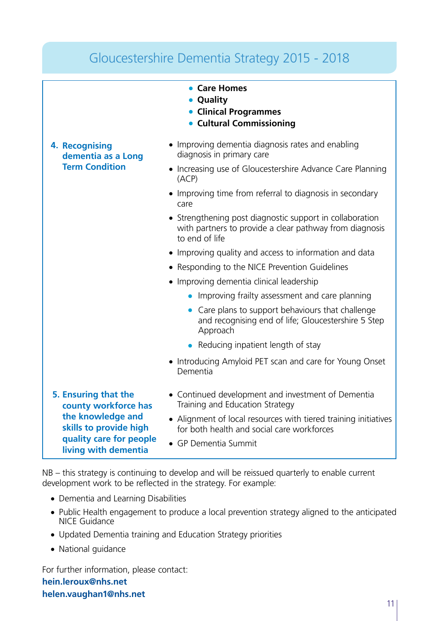| Gloucestershire Dementia Strategy 2015 - 2018                                                                                                  |                                                                                                                                             |  |  |  |
|------------------------------------------------------------------------------------------------------------------------------------------------|---------------------------------------------------------------------------------------------------------------------------------------------|--|--|--|
|                                                                                                                                                | • Care Homes<br>• Quality<br>• Clinical Programmes<br><b>• Cultural Commissioning</b>                                                       |  |  |  |
| 4. Recognising<br>dementia as a Long<br><b>Term Condition</b>                                                                                  | • Improving dementia diagnosis rates and enabling<br>diagnosis in primary care<br>• Increasing use of Gloucestershire Advance Care Planning |  |  |  |
|                                                                                                                                                | (ACP)<br>• Improving time from referral to diagnosis in secondary<br>care                                                                   |  |  |  |
|                                                                                                                                                | • Strengthening post diagnostic support in collaboration<br>with partners to provide a clear pathway from diagnosis<br>to end of life       |  |  |  |
|                                                                                                                                                | • Improving quality and access to information and data                                                                                      |  |  |  |
|                                                                                                                                                | • Responding to the NICE Prevention Guidelines                                                                                              |  |  |  |
|                                                                                                                                                | • Improving dementia clinical leadership                                                                                                    |  |  |  |
|                                                                                                                                                | • Improving frailty assessment and care planning                                                                                            |  |  |  |
|                                                                                                                                                | Care plans to support behaviours that challenge<br>and recognising end of life; Gloucestershire 5 Step<br>Approach                          |  |  |  |
|                                                                                                                                                | • Reducing inpatient length of stay                                                                                                         |  |  |  |
|                                                                                                                                                | • Introducing Amyloid PET scan and care for Young Onset<br>Dementia                                                                         |  |  |  |
| 5. Ensuring that the<br>county workforce has<br>the knowledge and<br>skills to provide high<br>quality care for people<br>living with dementia | • Continued development and investment of Dementia<br>Training and Education Strategy                                                       |  |  |  |
|                                                                                                                                                | • Alignment of local resources with tiered training initiatives<br>for both health and social care workforces                               |  |  |  |
|                                                                                                                                                | • GP Dementia Summit                                                                                                                        |  |  |  |

NB – this strategy is continuing to develop and will be reissued quarterly to enable current development work to be reflected in the strategy. For example:

- Dementia and Learning Disabilities
- Public Health engagement to produce a local prevention strategy aligned to the anticipated NICE Guidance
- Updated Dementia training and Education Strategy priorities
- National guidance

For further information, please contact: **hein.leroux@nhs.net helen.vaughan1@nhs.net**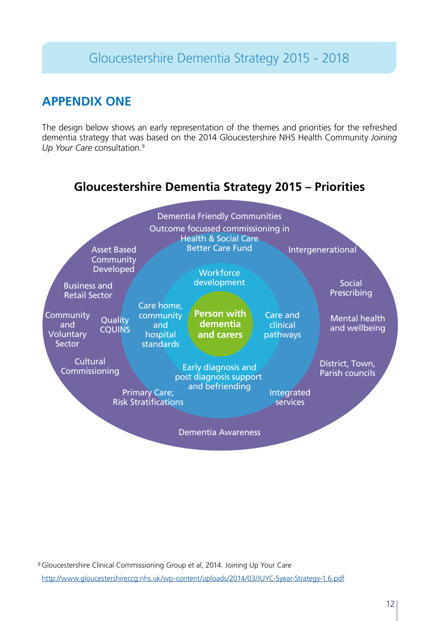### **APPENDIX ONE**

The design below shows an early representation of the themes and priorities for the refreshed dementia strategy that was based on the 2014 Gloucestershire NHS Health Community *Joining Up Your Care* consultation.9

### **Gloucestershire Dementia Strategy 2015 – Priorities**

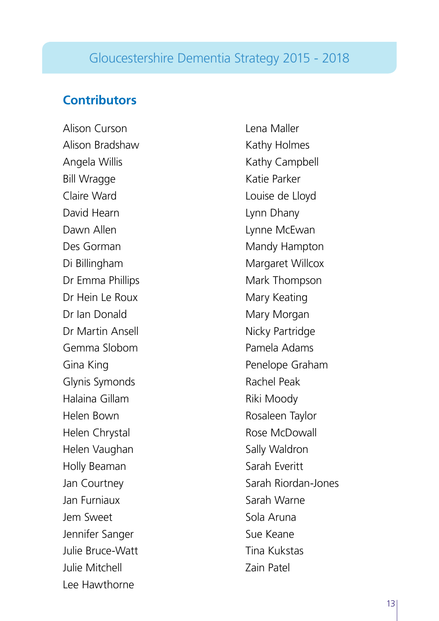### **Contributors**

Alison Curson Alison Bradshaw Angela Willis Bill Wragge Claire Ward David Hearn Dawn Allen Des Gorman Di Billingham Dr Emma Phillips Dr Hein Le Roux Dr Ian Donald Dr Martin Ansell Gemma Slobom Gina King Glynis Symonds Halaina Gillam Helen Bown Helen Chrystal Helen Vaughan Holly Beaman Jan Courtney Jan Furniaux Jem Sweet Jennifer Sanger Julie Bruce-Watt Julie Mitchell Lee Hawthorne

Lena Maller Kathy Holmes Kathy Campbell Katie Parker Louise de Lloyd Lynn Dhany Lynne McEwan Mandy Hampton Margaret Willcox Mark Thompson Mary Keating Mary Morgan Nicky Partridge Pamela Adams Penelope Graham Rachel Peak Riki Moody Rosaleen Taylor Rose McDowall Sally Waldron Sarah Everitt Sarah Riordan-Jones Sarah Warne Sola Aruna Sue Keane Tina Kukstas Zain Patel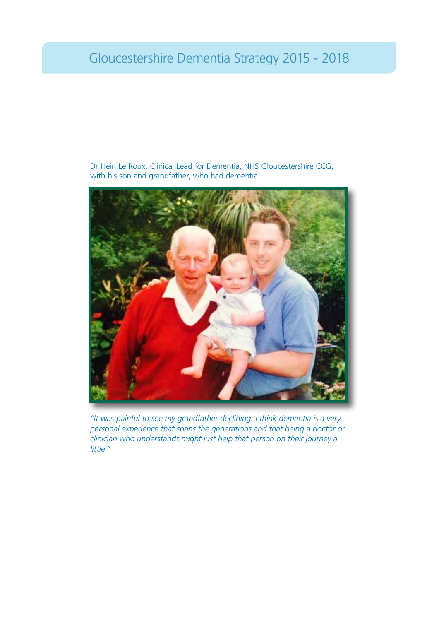

Dr Hein Le Roux, Clinical Lead for Dementia, NHS Gloucestershire CCG, with his son and grandfather, who had dementia

*"It was painful to see my grandfather declining. I think dementia is a very personal experience that spans the generations and that being a doctor or clinician who understands might just help that person on their journey a little."*